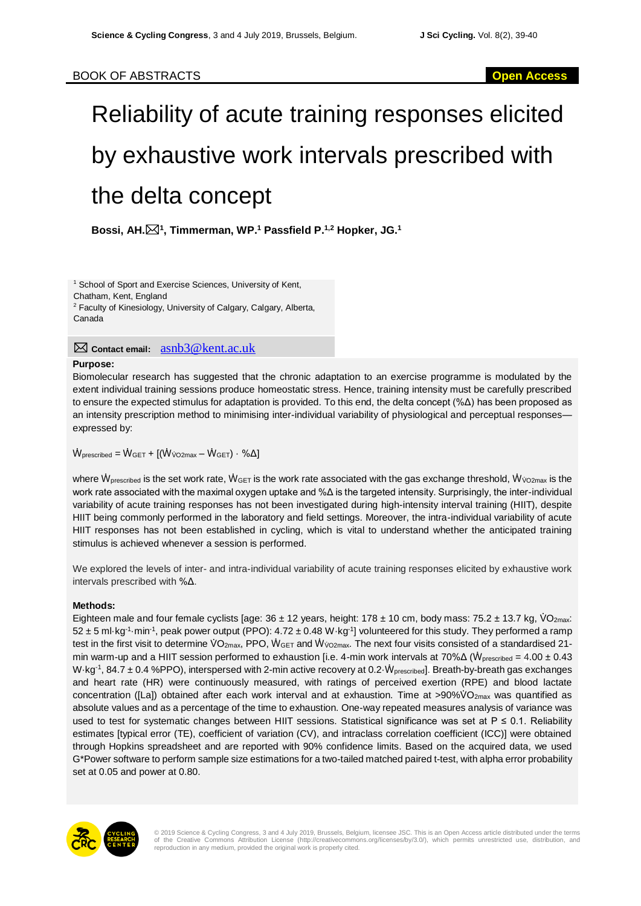# Reliability of acute training responses elicited by exhaustive work intervals prescribed with the delta concept

**Bossi, AH.<sup>1</sup> , Timmerman, WP.<sup>1</sup> Passfield P.1,2 Hopker, JG.<sup>1</sup>**

<sup>1</sup> School of Sport and Exercise Sciences, University of Kent, Chatham, Kent, England <sup>2</sup> Faculty of Kinesiology, University of Calgary, Calgary, Alberta, Canada

**Contact email:** asnb3@kent.ac.uk

### **Purpose:**

Biomolecular research has suggested that the chronic adaptation to an exercise programme is modulated by the extent individual training sessions produce homeostatic stress. Hence, training intensity must be carefully prescribed to ensure the expected stimulus for adaptation is provided. To this end, the delta concept (%Δ) has been proposed as an intensity prescription method to minimising inter-individual variability of physiological and perceptual responses expressed by:

 $\dot{W}_{\text{prescribed}} = \dot{W}_{\text{GET}} + [(\dot{W}_{\text{VO2max}} - \dot{W}_{\text{GET}}) \cdot \% \Delta]$ 

where  $W_{\text{prescribed}}$  is the set work rate,  $W_{\text{GET}}$  is the work rate associated with the gas exchange threshold,  $W_{\text{VO2max}}$  is the work rate associated with the maximal oxygen uptake and %Δ is the targeted intensity. Surprisingly, the inter-individual variability of acute training responses has not been investigated during high-intensity interval training (HIIT), despite HIIT being commonly performed in the laboratory and field settings. Moreover, the intra-individual variability of acute HIIT responses has not been established in cycling, which is vital to understand whether the anticipated training stimulus is achieved whenever a session is performed.

We explored the levels of inter- and intra-individual variability of acute training responses elicited by exhaustive work intervals prescribed with %Δ.

## **Methods:**

Eighteen male and four female cyclists [age:  $36 \pm 12$  years, height:  $178 \pm 10$  cm, body mass:  $75.2 \pm 13.7$  kg,  $\sqrt{O_{2\text{max}}}$ :  $52 \pm 5$  ml·kg<sup>-1</sup>·min<sup>-1</sup>, peak power output (PPO):  $4.72 \pm 0.48$  W·kg<sup>-1</sup>] volunteered for this study. They performed a ramp test in the first visit to determine VO<sub>2max</sub>, PPO, WGET and Wv<sub>O2max</sub>. The next four visits consisted of a standardised 21min warm-up and a HIIT session performed to exhaustion [i.e. 4-min work intervals at 70% $\Delta$  ( $\dot{W}_{prescribed} = 4.00 \pm 0.43$ ) W·kg<sup>-1</sup>, 84.7  $\pm$  0.4 %PPO), interspersed with 2-min active recovery at 0.2  $\dot{W}_{prescribed}$ . Breath-by-breath gas exchanges and heart rate (HR) were continuously measured, with ratings of perceived exertion (RPE) and blood lactate concentration ([La]) obtained after each work interval and at exhaustion. Time at >90% $\vee$ O<sub>2max</sub> was quantified as absolute values and as a percentage of the time to exhaustion. One-way repeated measures analysis of variance was used to test for systematic changes between HIIT sessions. Statistical significance was set at  $P \le 0.1$ . Reliability estimates [typical error (TE), coefficient of variation (CV), and intraclass correlation coefficient (ICC)] were obtained through Hopkins spreadsheet and are reported with 90% confidence limits. Based on the acquired data, we used G\*Power software to perform sample size estimations for a two-tailed matched paired t-test, with alpha error probability set at 0.05 and power at 0.80.



© 2019 Science & Cycling Congress, 3 and 4 July 2019, Brussels, Belgium, licensee JSC. This is an Open Access article distributed under the terms<br>of the Creative Commons Attribution License (http://creativecommons.org/lice reproduction in any medium, provided the original work is properly cited.